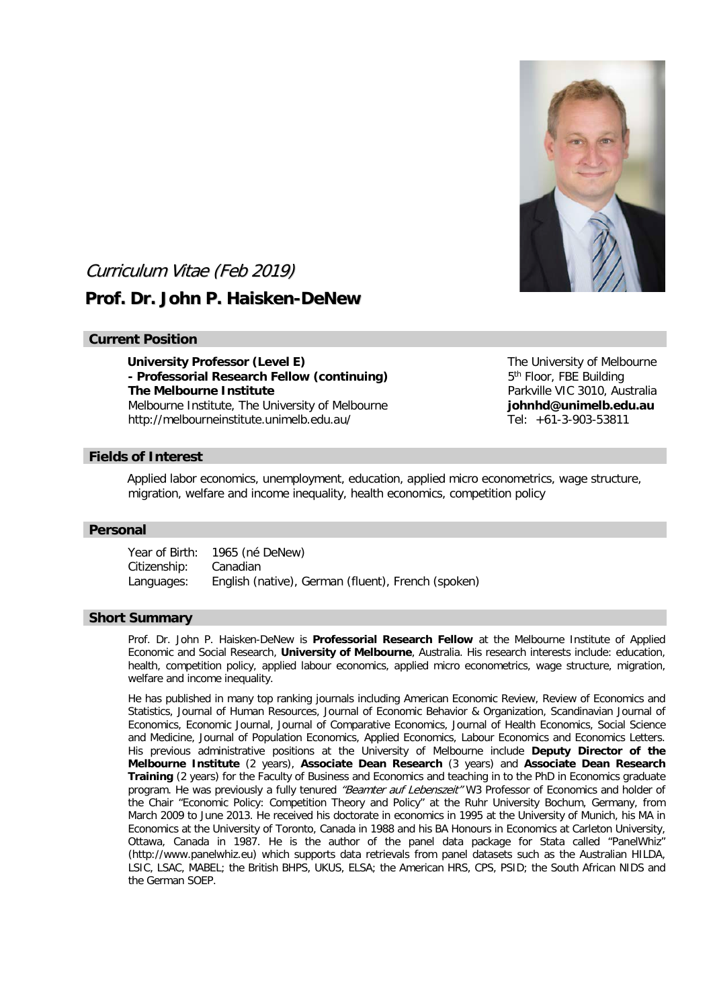

# Curriculum Vitae (Feb 2019)

# **Prof. Dr. John P. Haisken-DeNew**

## **Current Position**

**University Professor (Level E)** The University of Melbourne **- Professorial Research Fellow (continuing)** 5<sup>th</sup> Floor, FBE Building **The Melbourne Institute Parkville VIC 3010, Australia** Melbourne Institute, The University of Melbourne **johnhd@unimelb.edu.au** http://melbourneinstitute.unimelb.edu.au/ Tel: +61-3-903-53811

## **Fields of Interest**

Applied labor economics, unemployment, education, applied micro econometrics, wage structure, migration, welfare and income inequality, health economics, competition policy

#### **Personal**

Year of Birth: 1965 (né DeNew) Citizenship: Canadian Languages: English (native), German (fluent), French (spoken)

#### **Short Summary**

Prof. Dr. John P. Haisken-DeNew is **Professorial Research Fellow** at the Melbourne Institute of Applied Economic and Social Research, **University of Melbourne**, Australia. His research interests include: education, health, competition policy, applied labour economics, applied micro econometrics, wage structure, migration, welfare and income inequality.

He has published in many top ranking journals including American Economic Review, Review of Economics and Statistics, Journal of Human Resources, Journal of Economic Behavior & Organization, Scandinavian Journal of Economics, Economic Journal, Journal of Comparative Economics, Journal of Health Economics, Social Science and Medicine, Journal of Population Economics, Applied Economics, Labour Economics and Economics Letters. His previous administrative positions at the University of Melbourne include **Deputy Director of the Melbourne Institute** (2 years), **Associate Dean Research** (3 years) and **Associate Dean Research Training** (2 years) for the Faculty of Business and Economics and teaching in to the PhD in Economics graduate program. He was previously a fully tenured "Beamter auf Lebenszeit" W3 Professor of Economics and holder of the Chair "Economic Policy: Competition Theory and Policy" at the Ruhr University Bochum, Germany, from March 2009 to June 2013. He received his doctorate in economics in 1995 at the University of Munich, his MA in Economics at the University of Toronto, Canada in 1988 and his BA Honours in Economics at Carleton University, Ottawa, Canada in 1987. He is the author of the panel data package for Stata called "PanelWhiz" (http://www.panelwhiz.eu) which supports data retrievals from panel datasets such as the Australian HILDA, LSIC, LSAC, MABEL; the British BHPS, UKUS, ELSA; the American HRS, CPS, PSID; the South African NIDS and the German SOEP.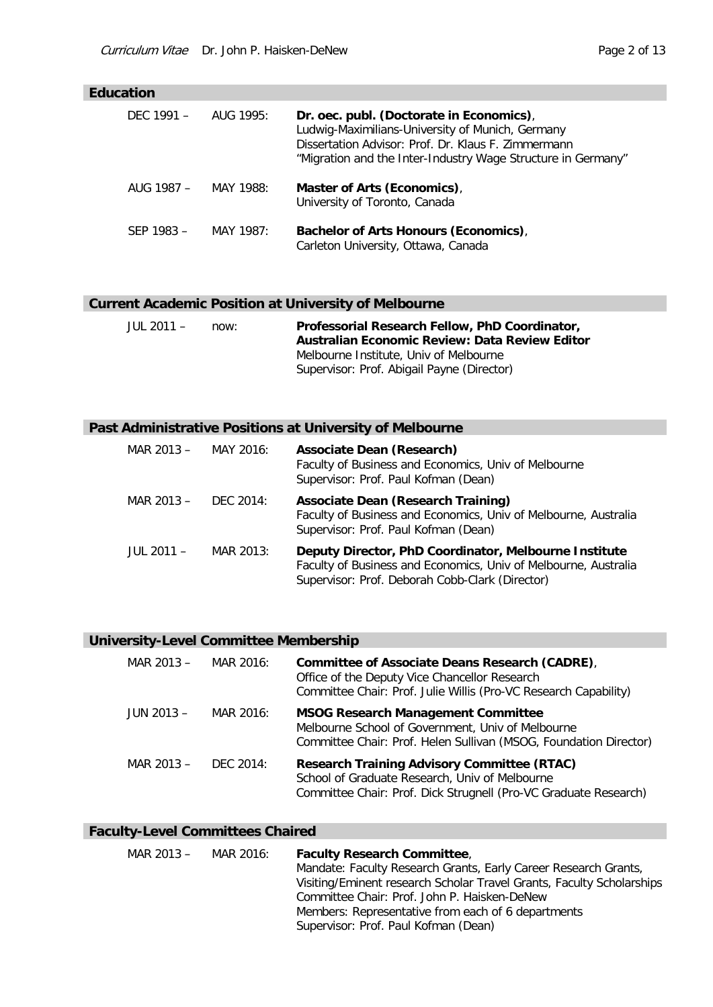# **Education**

| DEC 1991 $-$ | AUG 1995: | Dr. oec. publ. (Doctorate in Economics),<br>Ludwig-Maximilians-University of Munich, Germany<br>Dissertation Advisor: Prof. Dr. Klaus F. Zimmermann<br>"Migration and the Inter-Industry Wage Structure in Germany" |
|--------------|-----------|---------------------------------------------------------------------------------------------------------------------------------------------------------------------------------------------------------------------|
| AUG 1987 –   | MAY 1988: | Master of Arts (Economics),<br>University of Toronto, Canada                                                                                                                                                        |
| SEP 1983 -   | MAY 1987: | Bachelor of Arts Honours (Economics),<br>Carleton University, Ottawa, Canada                                                                                                                                        |

# **Current Academic Position at University of Melbourne**

| JUL 2011 – | now: | Professorial Research Fellow, PhD Coordinator,<br>Australian Economic Review: Data Review Editor |
|------------|------|--------------------------------------------------------------------------------------------------|
|            |      | Melbourne Institute, Univ of Melbourne<br>Supervisor: Prof. Abigail Payne (Director)             |

# **Past Administrative Positions at University of Melbourne**

| MAR $2013 -$ MAY 2016: |           | <b>Associate Dean (Research)</b><br>Faculty of Business and Economics, Univ of Melbourne<br>Supervisor: Prof. Paul Kofman (Dean)                                            |
|------------------------|-----------|-----------------------------------------------------------------------------------------------------------------------------------------------------------------------------|
| MAR 2013 –             | DEC 2014: | <b>Associate Dean (Research Training)</b><br>Faculty of Business and Economics, Univ of Melbourne, Australia<br>Supervisor: Prof. Paul Kofman (Dean)                        |
| JUL 2011 $-$           | MAR 2013: | Deputy Director, PhD Coordinator, Melbourne Institute<br>Faculty of Business and Economics, Univ of Melbourne, Australia<br>Supervisor: Prof. Deborah Cobb-Clark (Director) |

# **University-Level Committee Membership**

| MAR 2013 -   | MAR 2016: | Committee of Associate Deans Research (CADRE),<br>Office of the Deputy Vice Chancellor Research<br>Committee Chair: Prof. Julie Willis (Pro-VC Research Capability)      |
|--------------|-----------|--------------------------------------------------------------------------------------------------------------------------------------------------------------------------|
| $JUN 2013 -$ | MAR 2016: | <b>MSOG Research Management Committee</b><br>Melbourne School of Government, Univ of Melbourne<br>Committee Chair: Prof. Helen Sullivan (MSOG, Foundation Director)      |
| MAR 2013 -   | DFC 2014: | <b>Research Training Advisory Committee (RTAC)</b><br>School of Graduate Research, Univ of Melbourne<br>Committee Chair: Prof. Dick Strugnell (Pro-VC Graduate Research) |

# **Faculty-Level Committees Chaired**

| MAR $2013 - MAR 2016$ : | <b>Faculty Research Committee,</b>                                    |
|-------------------------|-----------------------------------------------------------------------|
|                         | Mandate: Faculty Research Grants, Early Career Research Grants,       |
|                         | Visiting/Eminent research Scholar Travel Grants, Faculty Scholarships |
|                         | Committee Chair: Prof. John P. Haisken-DeNew                          |
|                         | Members: Representative from each of 6 departments                    |
|                         | Supervisor: Prof. Paul Kofman (Dean)                                  |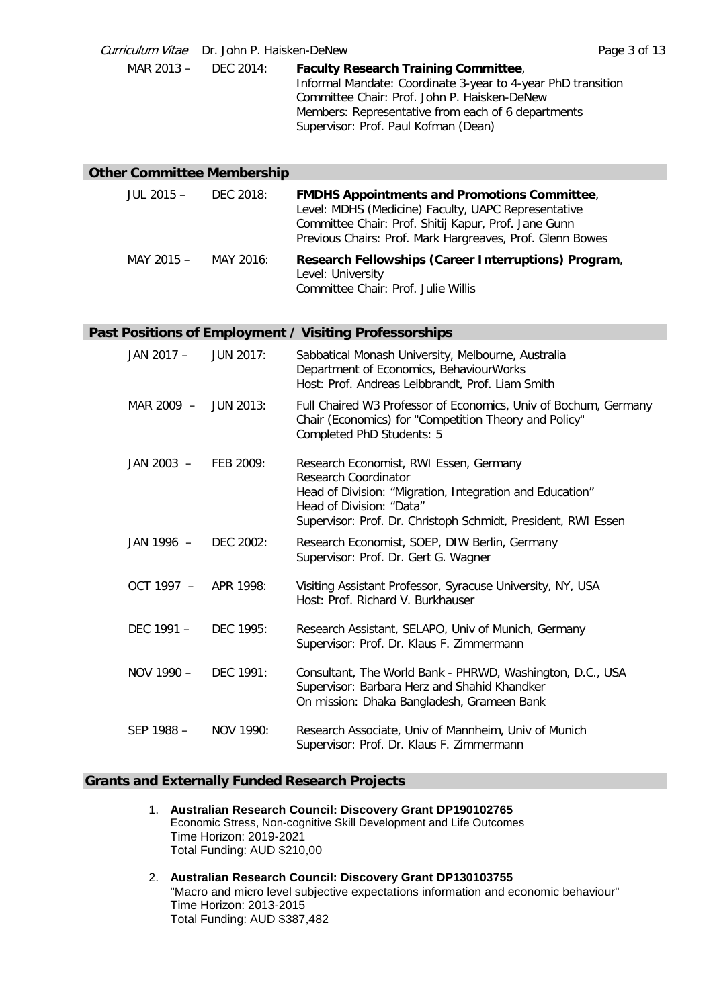Curriculum Vitae Dr. John P. Haisken-DeNew Page 3 of 13 MAR 2013 – DEC 2014: **Faculty Research Training Committee**, Informal Mandate: Coordinate 3-year to 4-year PhD transition Committee Chair: Prof. John P. Haisken-DeNew Members: Representative from each of 6 departments Supervisor: Prof. Paul Kofman (Dean)

## **Other Committee Membership**

| JUL 2015 – | DEC 2018: | <b>FMDHS Appointments and Promotions Committee,</b><br>Level: MDHS (Medicine) Faculty, UAPC Representative<br>Committee Chair: Prof. Shitij Kapur, Prof. Jane Gunn<br>Previous Chairs: Prof. Mark Hargreaves, Prof. Glenn Bowes |
|------------|-----------|---------------------------------------------------------------------------------------------------------------------------------------------------------------------------------------------------------------------------------|
| MAY 2015 - | MAY 2016: | Research Fellowships (Career Interruptions) Program,<br>Level: University<br>Committee Chair: Prof. Julie Willis                                                                                                                |

# **Past Positions of Employment / Visiting Professorships**

| JAN 2017 -   | <b>JUN 2017:</b> | Sabbatical Monash University, Melbourne, Australia<br>Department of Economics, BehaviourWorks<br>Host: Prof. Andreas Leibbrandt, Prof. Liam Smith                                                                       |
|--------------|------------------|-------------------------------------------------------------------------------------------------------------------------------------------------------------------------------------------------------------------------|
| MAR 2009 $-$ | JUN 2013:        | Full Chaired W3 Professor of Economics, Univ of Bochum, Germany<br>Chair (Economics) for "Competition Theory and Policy"<br>Completed PhD Students: 5                                                                   |
| $JAN 2003 -$ | FEB 2009:        | Research Economist, RWI Essen, Germany<br>Research Coordinator<br>Head of Division: "Migration, Integration and Education"<br>Head of Division: "Data"<br>Supervisor: Prof. Dr. Christoph Schmidt, President, RWI Essen |
| JAN 1996 -   | DEC 2002:        | Research Economist, SOEP, DIW Berlin, Germany<br>Supervisor: Prof. Dr. Gert G. Wagner                                                                                                                                   |
| $OCT 1997 -$ | APR 1998:        | Visiting Assistant Professor, Syracuse University, NY, USA<br>Host: Prof. Richard V. Burkhauser                                                                                                                         |
| DFC $1991 -$ | DFC 1995:        | Research Assistant, SELAPO, Univ of Munich, Germany<br>Supervisor: Prof. Dr. Klaus F. Zimmermann                                                                                                                        |
| NOV 1990 -   | DFC 1991:        | Consultant, The World Bank - PHRWD, Washington, D.C., USA<br>Supervisor: Barbara Herz and Shahid Khandker<br>On mission: Dhaka Bangladesh, Grameen Bank                                                                 |
| SEP 1988 -   | NOV 1990:        | Research Associate, Univ of Mannheim, Univ of Munich<br>Supervisor: Prof. Dr. Klaus F. Zimmermann                                                                                                                       |

## **Grants and Externally Funded Research Projects**

- 1. **Australian Research Council: Discovery Grant DP190102765** Economic Stress, Non-cognitive Skill Development and Life Outcomes Time Horizon: 2019-2021 Total Funding: AUD \$210,00
- 2. **Australian Research Council: Discovery Grant DP130103755** "Macro and micro level subjective expectations information and economic behaviour" Time Horizon: 2013-2015 Total Funding: AUD \$387,482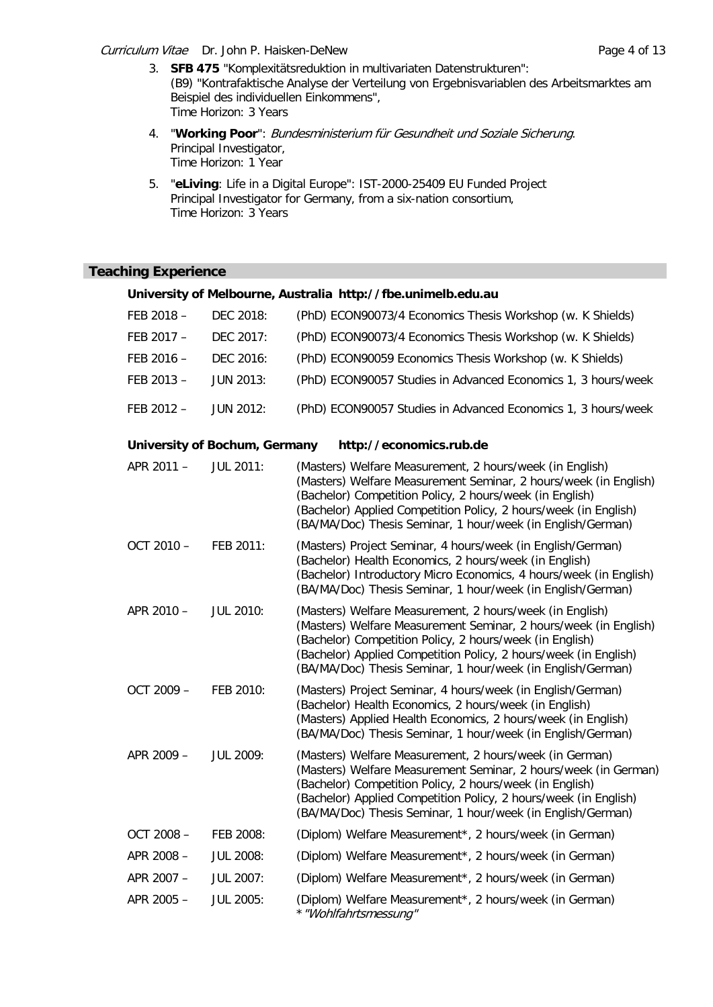Curriculum Vitae Dr. John P. Haisken-DeNew **Page 4 of 13** 

- 3. **SFB 475** "Komplexitätsreduktion in multivariaten Datenstrukturen": (B9) "Kontrafaktische Analyse der Verteilung von Ergebnisvariablen des Arbeitsmarktes am Beispiel des individuellen Einkommens", Time Horizon: 3 Years
- 4. "**Working Poor**": Bundesministerium für Gesundheit und Soziale Sicherung. Principal Investigator, Time Horizon: 1 Year
- 5. "**eLiving**: Life in a Digital Europe": IST-2000-25409 EU Funded Project Principal Investigator for Germany, from a six-nation consortium, Time Horizon: 3 Years

## **Teaching Experience**

|            |                               | University of Melbourne, Australia http://fbe.unimelb.edu.au                                                                                                                                                                                                                                                                |
|------------|-------------------------------|-----------------------------------------------------------------------------------------------------------------------------------------------------------------------------------------------------------------------------------------------------------------------------------------------------------------------------|
| FEB 2018 - | DEC 2018:                     | (PhD) ECON90073/4 Economics Thesis Workshop (w. K Shields)                                                                                                                                                                                                                                                                  |
| FEB 2017 - | DEC 2017:                     | (PhD) ECON90073/4 Economics Thesis Workshop (w. K Shields)                                                                                                                                                                                                                                                                  |
| FEB 2016 - | DEC 2016:                     | (PhD) ECON90059 Economics Thesis Workshop (w. K Shields)                                                                                                                                                                                                                                                                    |
| FEB 2013 - | <b>JUN 2013:</b>              | (PhD) ECON90057 Studies in Advanced Economics 1, 3 hours/week                                                                                                                                                                                                                                                               |
| FEB 2012 - | <b>JUN 2012:</b>              | (PhD) ECON90057 Studies in Advanced Economics 1, 3 hours/week                                                                                                                                                                                                                                                               |
|            | University of Bochum, Germany | http://economics.rub.de                                                                                                                                                                                                                                                                                                     |
| APR 2011 - | <b>JUL 2011:</b>              | (Masters) Welfare Measurement, 2 hours/week (in English)<br>(Masters) Welfare Measurement Seminar, 2 hours/week (in English)<br>(Bachelor) Competition Policy, 2 hours/week (in English)<br>(Bachelor) Applied Competition Policy, 2 hours/week (in English)<br>(BA/MA/Doc) Thesis Seminar, 1 hour/week (in English/German) |
| OCT 2010 - | FEB 2011:                     | (Masters) Project Seminar, 4 hours/week (in English/German)<br>(Bachelor) Health Economics, 2 hours/week (in English)<br>(Bachelor) Introductory Micro Economics, 4 hours/week (in English)<br>(BA/MA/Doc) Thesis Seminar, 1 hour/week (in English/German)                                                                  |
| APR 2010 - | <b>JUL 2010:</b>              | (Masters) Welfare Measurement, 2 hours/week (in English)<br>(Masters) Welfare Measurement Seminar, 2 hours/week (in English)<br>(Bachelor) Competition Policy, 2 hours/week (in English)<br>(Bachelor) Applied Competition Policy, 2 hours/week (in English)<br>(BA/MA/Doc) Thesis Seminar, 1 hour/week (in English/German) |
| OCT 2009 - | FEB 2010:                     | (Masters) Project Seminar, 4 hours/week (in English/German)<br>(Bachelor) Health Economics, 2 hours/week (in English)<br>(Masters) Applied Health Economics, 2 hours/week (in English)<br>(BA/MA/Doc) Thesis Seminar, 1 hour/week (in English/German)                                                                       |
| APR 2009 - | <b>JUL 2009:</b>              | (Masters) Welfare Measurement, 2 hours/week (in German)<br>(Masters) Welfare Measurement Seminar, 2 hours/week (in German)<br>(Bachelor) Competition Policy, 2 hours/week (in English)<br>(Bachelor) Applied Competition Policy, 2 hours/week (in English)<br>(BA/MA/Doc) Thesis Seminar, 1 hour/week (in English/German)   |
| OCT 2008-  | FEB 2008:                     | (Diplom) Welfare Measurement*, 2 hours/week (in German)                                                                                                                                                                                                                                                                     |
| APR 2008 - | <b>JUL 2008:</b>              | (Diplom) Welfare Measurement*, 2 hours/week (in German)                                                                                                                                                                                                                                                                     |
| APR 2007 - | <b>JUL 2007:</b>              | (Diplom) Welfare Measurement*, 2 hours/week (in German)                                                                                                                                                                                                                                                                     |
| APR 2005 - | <b>JUL 2005:</b>              | (Diplom) Welfare Measurement*, 2 hours/week (in German)<br>* "Wohlfahrtsmessung"                                                                                                                                                                                                                                            |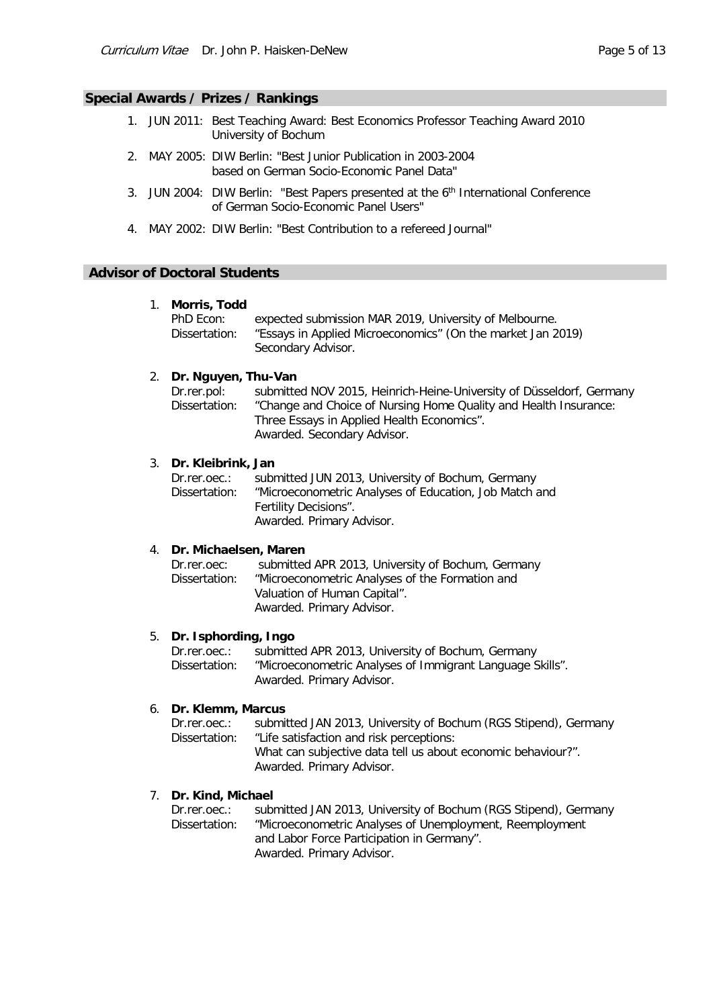## **Special Awards / Prizes / Rankings**

- 1. JUN 2011: Best Teaching Award: Best Economics Professor Teaching Award 2010 University of Bochum
- 2. MAY 2005: DIW Berlin: "Best Junior Publication in 2003-2004 based on German Socio-Economic Panel Data"
- 3. JUN 2004: DIW Berlin: "Best Papers presented at the 6<sup>th</sup> International Conference of German Socio-Economic Panel Users"
- 4. MAY 2002: DIW Berlin: "Best Contribution to a refereed Journal"

### **Advisor of Doctoral Students**

#### 1. **Morris, Todd**

| PhD Econ:     | expected submission MAR 2019, University of Melbourne.      |
|---------------|-------------------------------------------------------------|
| Dissertation: | "Essays in Applied Microeconomics" (On the market Jan 2019) |
|               | Secondary Advisor.                                          |

## 2. **Dr. Nguyen, Thu-Van**

| Dr.rer.pol:   | submitted NOV 2015, Heinrich-Heine-University of Düsseldorf, Germany |
|---------------|----------------------------------------------------------------------|
| Dissertation: | "Change and Choice of Nursing Home Quality and Health Insurance:     |
|               | Three Essays in Applied Health Economics".                           |
|               | Awarded. Secondary Advisor.                                          |

### 3. **Dr. Kleibrink, Jan**

| Dr.rer.oec.:  | submitted JUN 2013, University of Bochum, Germany      |
|---------------|--------------------------------------------------------|
| Dissertation: | "Microeconometric Analyses of Education, Job Match and |
|               | Fertility Decisions".                                  |
|               | Awarded. Primary Advisor.                              |

#### 4. **Dr. Michaelsen, Maren**

| Dr.rer.oec:   | submitted APR 2013, University of Bochum, Germany |
|---------------|---------------------------------------------------|
| Dissertation: | "Microeconometric Analyses of the Formation and   |
|               | Valuation of Human Capital".                      |
|               | Awarded. Primary Advisor.                         |

#### 5. **Dr. Isphording, Ingo**

| Dr.rer.oec.:  | submitted APR 2013, University of Bochum, Germany         |
|---------------|-----------------------------------------------------------|
| Dissertation: | "Microeconometric Analyses of Immigrant Language Skills". |
|               | Awarded. Primary Advisor.                                 |

#### 6. **Dr. Klemm, Marcus**

| $Dr.rer.$ oec.: | submitted JAN 2013, University of Bochum (RGS Stipend), Germany |
|-----------------|-----------------------------------------------------------------|
| Dissertation:   | "Life satisfaction and risk perceptions:                        |
|                 | What can subjective data tell us about economic behaviour?".    |
|                 | Awarded. Primary Advisor.                                       |
|                 |                                                                 |

### 7. **Dr. Kind, Michael**

Dr.rer.oec.: submitted JAN 2013, University of Bochum (RGS Stipend), Germany Dissertation: "Microeconometric Analyses of Unemployment, Reemployment and Labor Force Participation in Germany". Awarded. Primary Advisor.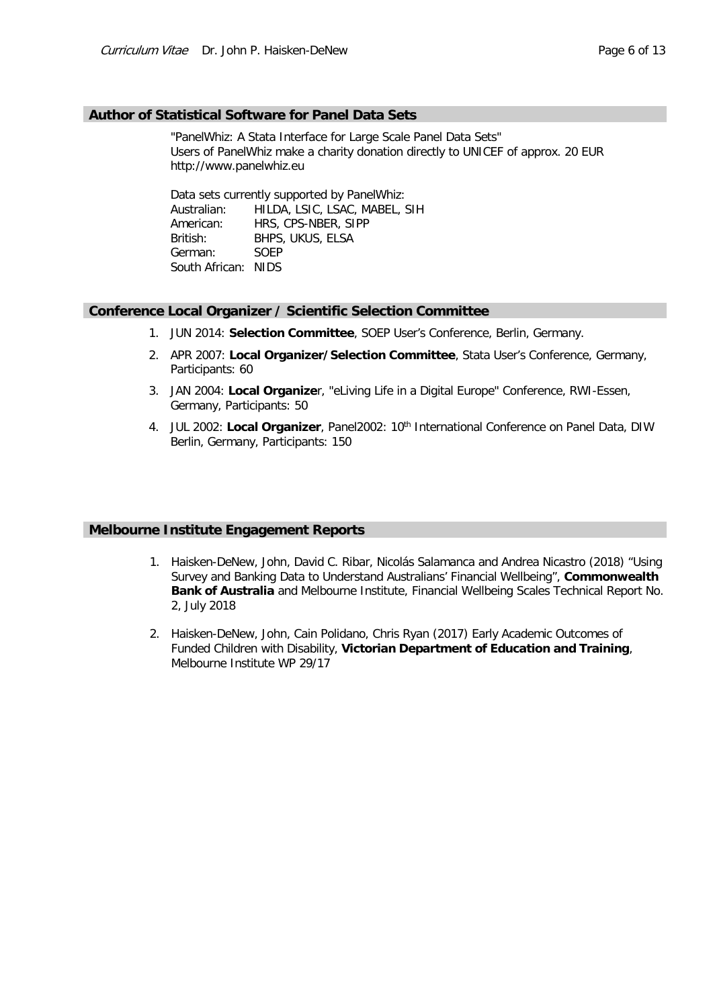#### **Author of Statistical Software for Panel Data Sets**

"PanelWhiz: A Stata Interface for Large Scale Panel Data Sets" Users of PanelWhiz make a charity donation directly to UNICEF of approx. 20 EUR http://www.panelwhiz.eu

Data sets currently supported by PanelWhiz: Australian: HILDA, LSIC, LSAC, MABEL, SIH American: HRS, CPS-NBER, SIPP British: BHPS, UKUS, ELSA German: SOEP South African: NIDS

## **Conference Local Organizer / Scientific Selection Committee**

- 1. JUN 2014: **Selection Committee**, SOEP User's Conference, Berlin, Germany.
- 2. APR 2007: **Local Organizer/Selection Committee**, Stata User's Conference, Germany, Participants: 60
- 3. JAN 2004: **Local Organize**r, "eLiving Life in a Digital Europe" Conference, RWI-Essen, Germany, Participants: 50
- 4. JUL 2002: **Local Organizer**, Panel2002: 10th International Conference on Panel Data, DIW Berlin, Germany, Participants: 150

#### **Melbourne Institute Engagement Reports**

- 1. Haisken-DeNew, John, David C. Ribar, Nicolás Salamanca and Andrea Nicastro (2018) "Using Survey and Banking Data to Understand Australians' Financial Wellbeing", **Commonwealth Bank of Australia** and Melbourne Institute, Financial Wellbeing Scales Technical Report No. 2, July 2018
- 2. Haisken-DeNew, John, Cain Polidano, Chris Ryan (2017) Early Academic Outcomes of Funded Children with Disability, **Victorian Department of Education and Training**, Melbourne Institute WP 29/17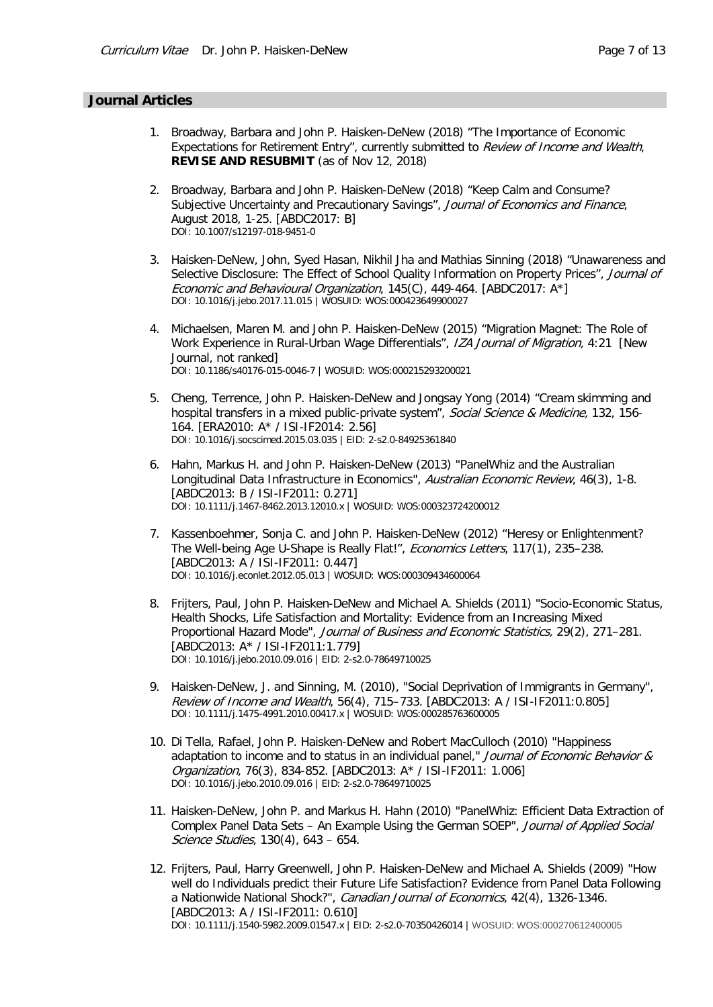#### **Journal Articles**

- 1. Broadway, Barbara and John P. Haisken-DeNew (2018) "The Importance of Economic Expectations for Retirement Entry", currently submitted to Review of Income and Wealth, **REVISE AND RESUBMIT** (as of Nov 12, 2018)
- 2. Broadway, Barbara and John P. Haisken-DeNew (2018) "Keep Calm and Consume? Subjective Uncertainty and Precautionary Savings", Journal of Economics and Finance, August 2018, 1-25. [ABDC2017: B] DOI: 10.1007/s12197-018-9451-0
- 3. Haisken-DeNew, John, Syed Hasan, Nikhil Jha and Mathias Sinning (2018) "Unawareness and Selective Disclosure: The Effect of School Quality Information on Property Prices", Journal of Economic and Behavioural Organization, 145(C), 449-464. [ABDC2017: A\*] DOI: 10.1016/j.jebo.2017.11.015 | WOSUID: WOS:000423649900027
- 4. Michaelsen, Maren M. and John P. Haisken-DeNew (2015) "Migration Magnet: The Role of Work Experience in Rural-Urban Wage Differentials", IZA Journal of Migration, 4:21 [New Journal, not ranked] DOI: 10.1186/s40176-015-0046-7 | WOSUID: WOS:000215293200021
- 5. Cheng, Terrence, John P. Haisken-DeNew and Jongsay Yong (2014) "Cream skimming and hospital transfers in a mixed public-private system", Social Science & Medicine, 132, 156-164. [ERA2010: A\* / ISI-IF2014: 2.56] DOI: 10.1016/j.socscimed.2015.03.035 | EID: 2-s2.0-84925361840
- 6. Hahn, Markus H. and John P. Haisken-DeNew (2013) "PanelWhiz and the Australian Longitudinal Data Infrastructure in Economics", Australian Economic Review, 46(3), 1-8. [ABDC2013: B / ISI-IF2011: 0.271] DOI: 10.1111/j.1467-8462.2013.12010.x | WOSUID: WOS:000323724200012
- 7. Kassenboehmer, Sonja C. and John P. Haisken-DeNew (2012) "Heresy or Enlightenment? The Well-being Age U-Shape is Really Flat!", Economics Letters, 117(1), 235-238. [ABDC2013: A / ISI-IF2011: 0.447] DOI: 10.1016/j.econlet.2012.05.013 | WOSUID: WOS:000309434600064
- 8. Frijters, Paul, John P. Haisken-DeNew and Michael A. Shields (2011) "Socio-Economic Status, Health Shocks, Life Satisfaction and Mortality: Evidence from an Increasing Mixed Proportional Hazard Mode", Journal of Business and Economic Statistics, 29(2), 271-281. [ABDC2013: A\* / ISI-IF2011:1.779] DOI: 10.1016/j.jebo.2010.09.016 | EID: 2-s2.0-78649710025
- 9. Haisken-DeNew, J. and Sinning, M. (2010), "Social Deprivation of Immigrants in Germany", Review of Income and Wealth, 56(4), 715–733. [ABDC2013: A / ISI-IF2011:0.805] DOI: 10.1111/j.1475-4991.2010.00417.x | WOSUID: WOS:000285763600005
- 10. Di Tella, Rafael, John P. Haisken-DeNew and Robert MacCulloch (2010) "Happiness adaptation to income and to status in an individual panel," Journal of Economic Behavior & Organization, 76(3), 834-852. [ABDC2013: A\* / ISI-IF2011: 1.006] DOI: 10.1016/j.jebo.2010.09.016 | EID: 2-s2.0-78649710025
- 11. Haisken-DeNew, John P. and Markus H. Hahn (2010) "PanelWhiz: Efficient Data Extraction of Complex Panel Data Sets - An Example Using the German SOEP", Journal of Applied Social Science Studies, 130(4), 643 – 654.
- 12. Frijters, Paul, Harry Greenwell, John P. Haisken-DeNew and Michael A. Shields (2009) "How well do Individuals predict their Future Life Satisfaction? Evidence from Panel Data Following a Nationwide National Shock?", Canadian Journal of Economics, 42(4), 1326-1346. [ABDC2013: A / ISI-IF2011: 0.610] DOI: 10.1111/j.1540-5982.2009.01547.x | EID: 2-s2.0-70350426014 | WOSUID: WOS:000270612400005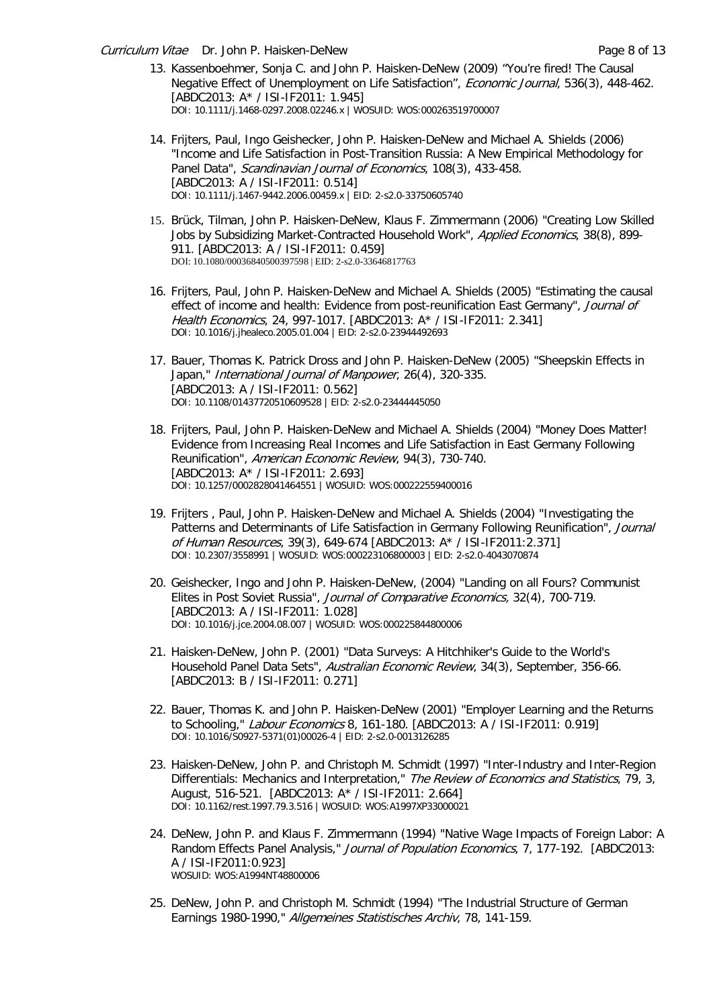Curriculum Vitae Dr. John P. Haisken-DeNew Page 8 of 13

- 13. Kassenboehmer, Sonja C. and John P. Haisken-DeNew (2009) "You're fired! The Causal Negative Effect of Unemployment on Life Satisfaction", Economic Journal, 536(3), 448-462. [ABDC2013: A\* / ISI-IF2011: 1.945] DOI: 10.1111/j.1468-0297.2008.02246.x | WOSUID: WOS:000263519700007
- 14. Frijters, Paul, Ingo Geishecker, John P. Haisken-DeNew and Michael A. Shields (2006) "Income and Life Satisfaction in Post-Transition Russia: A New Empirical Methodology for Panel Data", Scandinavian Journal of Economics, 108(3), 433-458. [ABDC2013: A / ISI-IF2011: 0.514] DOI: 10.1111/j.1467-9442.2006.00459.x | EID: 2-s2.0-33750605740
- 15. Brück, Tilman, John P. Haisken-DeNew, Klaus F. Zimmermann (2006) "Creating Low Skilled Jobs by Subsidizing Market-Contracted Household Work", Applied Economics, 38(8), 899-911. [ABDC2013: A / ISI-IF2011: 0.459] DOI: 10.1080/00036840500397598 | EID: 2-s2.0-33646817763
- 16. Frijters, Paul, John P. Haisken-DeNew and Michael A. Shields (2005) "Estimating the causal effect of income and health: Evidence from post-reunification East Germany", Journal of Health Economics, 24, 997-1017. [ABDC2013: A\* / ISI-IF2011: 2.341] DOI: 10.1016/j.jhealeco.2005.01.004 | EID: 2-s2.0-23944492693
- 17. Bauer, Thomas K. Patrick Dross and John P. Haisken-DeNew (2005) "Sheepskin Effects in Japan," International Journal of Manpower, 26(4), 320-335. [ABDC2013: A / ISI-IF2011: 0.562] DOI: 10.1108/01437720510609528 | EID: 2-s2.0-23444445050
- 18. Frijters, Paul, John P. Haisken-DeNew and Michael A. Shields (2004) "Money Does Matter! Evidence from Increasing Real Incomes and Life Satisfaction in East Germany Following Reunification", American Economic Review, 94(3), 730-740. [ABDC2013: A\* / ISI-IF2011: 2.693] DOI: 10.1257/0002828041464551 | WOSUID: WOS:000222559400016
- 19. Frijters , Paul, John P. Haisken-DeNew and Michael A. Shields (2004) "Investigating the Patterns and Determinants of Life Satisfaction in Germany Following Reunification", Journal of Human Resources, 39(3), 649-674 [ABDC2013: A\* / ISI-IF2011:2.371] DOI: 10.2307/3558991 | WOSUID: WOS:000223106800003 | EID: 2-s2.0-4043070874
- 20. Geishecker, Ingo and John P. Haisken-DeNew, (2004) "Landing on all Fours? Communist Elites in Post Soviet Russia", Journal of Comparative Economics, 32(4), 700-719. [ABDC2013: A / ISI-IF2011: 1.028] DOI: 10.1016/j.jce.2004.08.007 | WOSUID: WOS:000225844800006
- 21. Haisken-DeNew, John P. (2001) "Data Surveys: A Hitchhiker's Guide to the World's Household Panel Data Sets", Australian Economic Review, 34(3), September, 356-66. [ABDC2013: B / ISI-IF2011: 0.271]
- 22. Bauer, Thomas K. and John P. Haisken-DeNew (2001) "Employer Learning and the Returns to Schooling," [Labour Economics](http://www.elsevier.nl/homepage/sae/econbase/labeco/menu.sht) 8, 161-180. [ABDC2013: A / ISI-IF2011: 0.919] DOI: 10.1016/S0927-5371(01)00026-4 | EID: 2-s2.0-0013126285
- 23. Haisken-DeNew, John P. and Christoph M. Schmidt (1997) "Inter-Industry and Inter-Region Differentials: Mechanics and Interpretation," The Review of Economics and Statistics, 79, 3, August, 516-521. [ABDC2013: A\* / ISI-IF2011: 2.664] DOI: 10.1162/rest.1997.79.3.516 | WOSUID: WOS:A1997XP33000021
- 24. DeNew, John P. and Klaus F. Zimmermann (1994) "Native Wage Impacts of Foreign Labor: A Random Effects Panel Analysis," Journal of Population Economics, 7, 177-192. [ABDC2013: A / ISI-IF2011:0.923] WOSUID: WOS:A1994NT48800006
- 25. DeNew, John P. and Christoph M. Schmidt (1994) "The Industrial Structure of German Earnings 1980-1990," [Allgemeines Statistisches Archiv](http://link.springer.de/link/service/journals/10182/), 78, 141-159.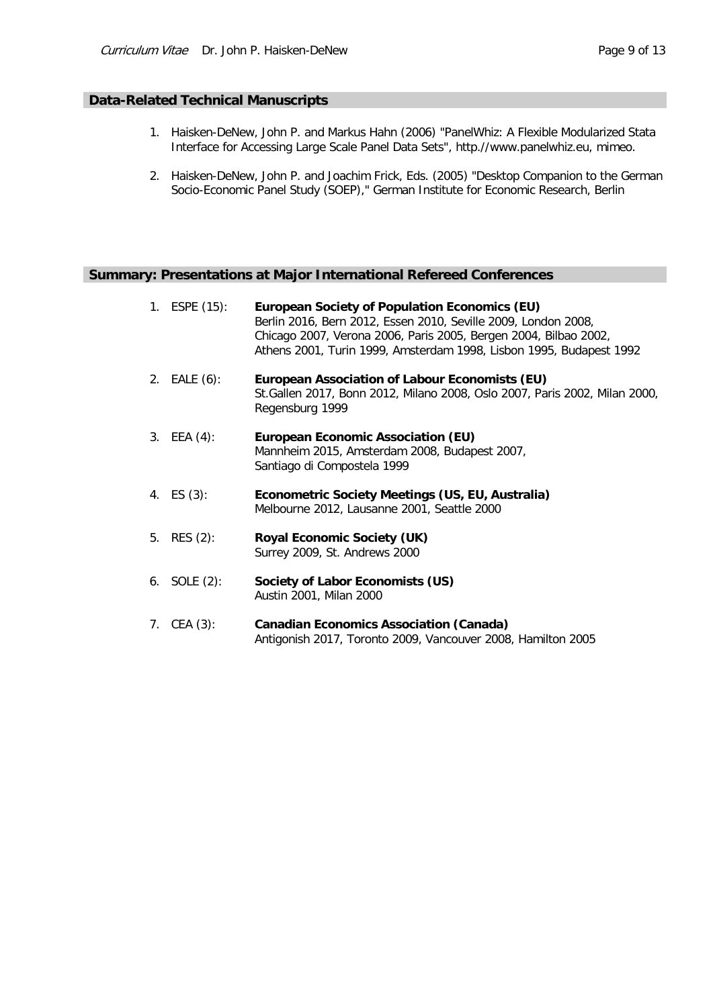## **Data-Related Technical Manuscripts**

- 1. Haisken-DeNew, John P. and Markus Hahn (2006) "PanelWhiz: A Flexible Modularized Stata Interface for Accessing Large Scale Panel Data Sets", http.//www.panelwhiz.eu, mimeo.
- 2. Haisken-DeNew, John P. and Joachim Frick, Eds. (2005) ["Desktop Companion to the German](http://www.diw.de/deutsch/sop/service/dtc/dtc.pdf)  [Socio-Economic Panel Study \(SOEP\),](http://www.diw.de/deutsch/sop/service/dtc/dtc.pdf)" German Institute for Economic Research, Berlin

## **Summary: Presentations at Major International Refereed Conferences**

| 1. ESPE (15):   | <b>European Society of Population Economics (EU)</b><br>Berlin 2016, Bern 2012, Essen 2010, Seville 2009, London 2008,<br>Chicago 2007, Verona 2006, Paris 2005, Bergen 2004, Bilbao 2002,<br>Athens 2001, Turin 1999, Amsterdam 1998, Lisbon 1995, Budapest 1992 |
|-----------------|-------------------------------------------------------------------------------------------------------------------------------------------------------------------------------------------------------------------------------------------------------------------|
| 2. EALE (6):    | European Association of Labour Economists (EU)<br>St. Gallen 2017, Bonn 2012, Milano 2008, Oslo 2007, Paris 2002, Milan 2000,<br>Regensburg 1999                                                                                                                  |
| 3. EEA $(4)$ :  | <b>European Economic Association (EU)</b><br>Mannheim 2015, Amsterdam 2008, Budapest 2007,<br>Santiago di Compostela 1999                                                                                                                                         |
| 4. $ES(3)$ :    | Econometric Society Meetings (US, EU, Australia)<br>Melbourne 2012, Lausanne 2001, Seattle 2000                                                                                                                                                                   |
| 5. RES $(2)$ :  | <b>Royal Economic Society (UK)</b><br>Surrey 2009, St. Andrews 2000                                                                                                                                                                                               |
| 6. SOLE $(2)$ : | Society of Labor Economists (US)<br>Austin 2001, Milan 2000                                                                                                                                                                                                       |
| 7. CEA $(3)$ :  | <b>Canadian Economics Association (Canada)</b><br>Antigonish 2017, Toronto 2009, Vancouver 2008, Hamilton 2005                                                                                                                                                    |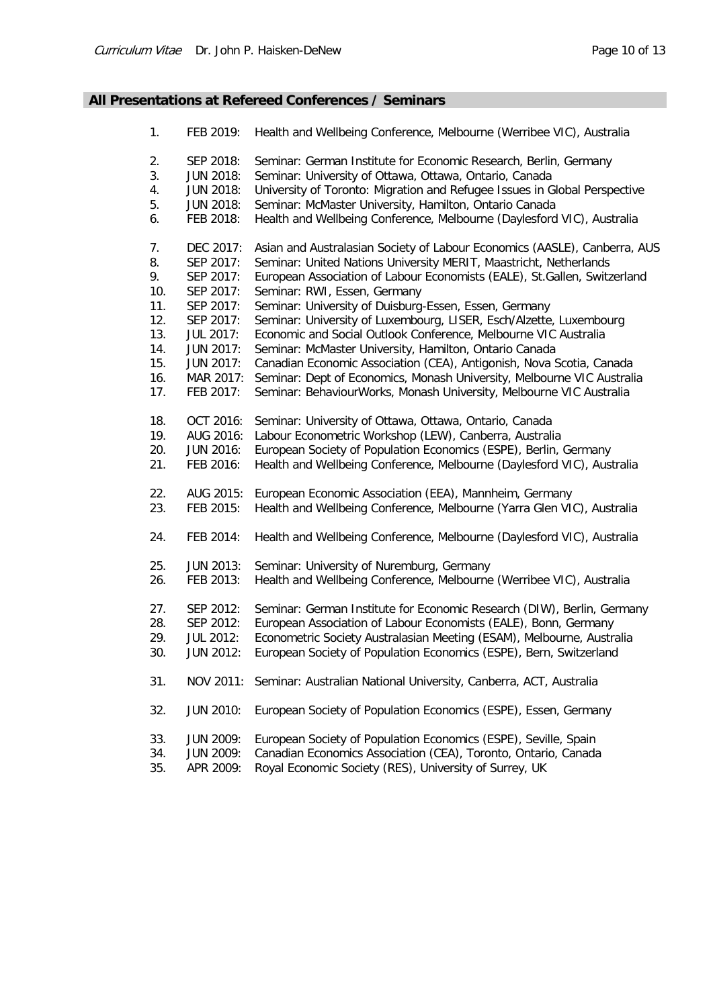# **All Presentations at Refereed Conferences / Seminars**

| 1.  | FEB 2019:        | Health and Wellbeing Conference, Melbourne (Werribee VIC), Australia        |
|-----|------------------|-----------------------------------------------------------------------------|
| 2.  | SEP 2018:        | Seminar: German Institute for Economic Research, Berlin, Germany            |
| 3.  | <b>JUN 2018:</b> | Seminar: University of Ottawa, Ottawa, Ontario, Canada                      |
| 4.  | <b>JUN 2018:</b> | University of Toronto: Migration and Refugee Issues in Global Perspective   |
| 5.  | <b>JUN 2018:</b> | Seminar: McMaster University, Hamilton, Ontario Canada                      |
| 6.  | FEB 2018:        | Health and Wellbeing Conference, Melbourne (Daylesford VIC), Australia      |
| 7.  | DEC 2017:        | Asian and Australasian Society of Labour Economics (AASLE), Canberra, AUS   |
| 8.  | SEP 2017:        | Seminar: United Nations University MERIT, Maastricht, Netherlands           |
| 9.  | SEP 2017:        | European Association of Labour Economists (EALE), St.Gallen, Switzerland    |
| 10. | SEP 2017:        | Seminar: RWI, Essen, Germany                                                |
| 11. | SEP 2017:        | Seminar: University of Duisburg-Essen, Essen, Germany                       |
| 12. | SEP 2017:        | Seminar: University of Luxembourg, LISER, Esch/Alzette, Luxembourg          |
| 13. | <b>JUL 2017:</b> | Economic and Social Outlook Conference, Melbourne VIC Australia             |
| 14. | <b>JUN 2017:</b> | Seminar: McMaster University, Hamilton, Ontario Canada                      |
| 15. | <b>JUN 2017:</b> | Canadian Economic Association (CEA), Antigonish, Nova Scotia, Canada        |
| 16. | MAR 2017:        | Seminar: Dept of Economics, Monash University, Melbourne VIC Australia      |
| 17. | FEB 2017:        | Seminar: BehaviourWorks, Monash University, Melbourne VIC Australia         |
| 18. | OCT 2016:        | Seminar: University of Ottawa, Ottawa, Ontario, Canada                      |
| 19. | AUG 2016:        | Labour Econometric Workshop (LEW), Canberra, Australia                      |
| 20. | <b>JUN 2016:</b> | European Society of Population Economics (ESPE), Berlin, Germany            |
| 21. | FEB 2016:        | Health and Wellbeing Conference, Melbourne (Daylesford VIC), Australia      |
| 22. | AUG 2015:        | European Economic Association (EEA), Mannheim, Germany                      |
| 23. | FEB 2015:        | Health and Wellbeing Conference, Melbourne (Yarra Glen VIC), Australia      |
| 24. | FEB 2014:        | Health and Wellbeing Conference, Melbourne (Daylesford VIC), Australia      |
| 25. | <b>JUN 2013:</b> | Seminar: University of Nuremburg, Germany                                   |
| 26. | FEB 2013:        | Health and Wellbeing Conference, Melbourne (Werribee VIC), Australia        |
| 27. | SEP 2012:        | Seminar: German Institute for Economic Research (DIW), Berlin, Germany      |
| 28. | SEP 2012:        | European Association of Labour Economists (EALE), Bonn, Germany             |
| 29. | <b>JUL 2012:</b> | Econometric Society Australasian Meeting (ESAM), Melbourne, Australia       |
| 30. | <b>JUN 2012:</b> | European Society of Population Economics (ESPE), Bern, Switzerland          |
| 31. |                  | NOV 2011: Seminar: Australian National University, Canberra, ACT, Australia |
| 32. | <b>JUN 2010:</b> | European Society of Population Economics (ESPE), Essen, Germany             |
| 33. | <b>JUN 2009:</b> | European Society of Population Economics (ESPE), Seville, Spain             |
| 34. | <b>JUN 2009:</b> | Canadian Economics Association (CEA), Toronto, Ontario, Canada              |
| 35. | APR 2009:        | Royal Economic Society (RES), University of Surrey, UK                      |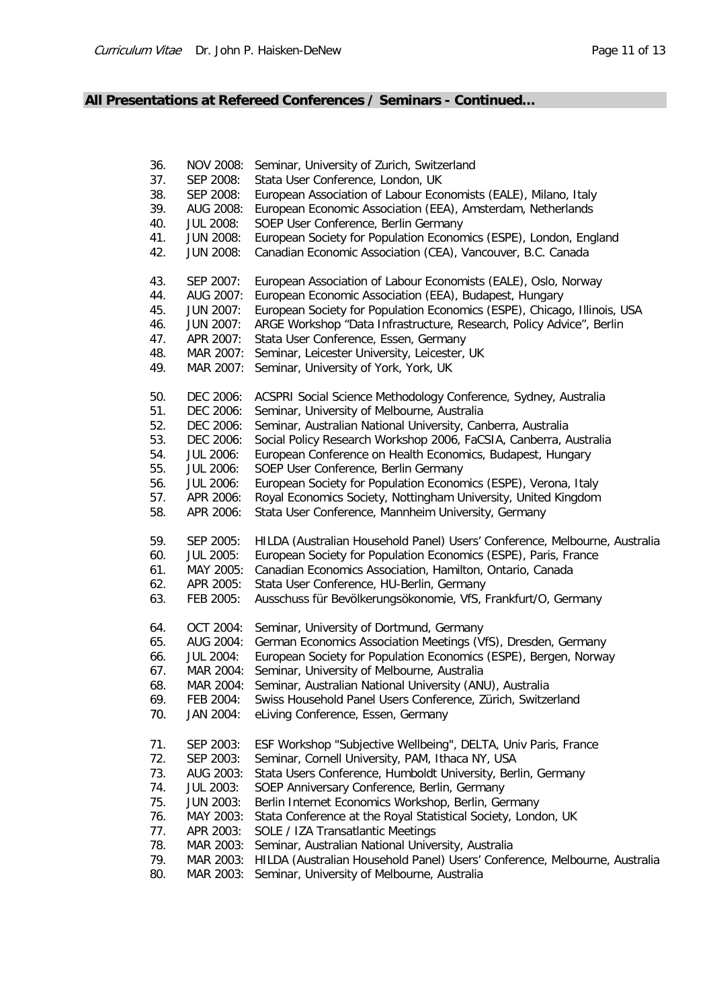# **All Presentations at Refereed Conferences / Seminars - Continued…**

| 36. | NOV 2008:        | Seminar, University of Zurich, Switzerland                                 |
|-----|------------------|----------------------------------------------------------------------------|
| 37. | SEP 2008:        | Stata User Conference, London, UK                                          |
| 38. | SEP 2008:        | European Association of Labour Economists (EALE), Milano, Italy            |
| 39. | AUG 2008:        | European Economic Association (EEA), Amsterdam, Netherlands                |
| 40. | <b>JUL 2008:</b> | SOEP User Conference, Berlin Germany                                       |
| 41. | <b>JUN 2008:</b> | European Society for Population Economics (ESPE), London, England          |
| 42. | <b>JUN 2008:</b> | Canadian Economic Association (CEA), Vancouver, B.C. Canada                |
| 43. | SEP 2007:        | European Association of Labour Economists (EALE), Oslo, Norway             |
| 44. | AUG 2007:        | European Economic Association (EEA), Budapest, Hungary                     |
| 45. | <b>JUN 2007:</b> | European Society for Population Economics (ESPE), Chicago, Illinois, USA   |
| 46. | <b>JUN 2007:</b> | ARGE Workshop "Data Infrastructure, Research, Policy Advice", Berlin       |
| 47. | APR 2007:        | Stata User Conference, Essen, Germany                                      |
| 48. | MAR 2007:        | Seminar, Leicester University, Leicester, UK                               |
| 49. | MAR 2007:        | Seminar, University of York, York, UK                                      |
| 50. | DEC 2006:        | ACSPRI Social Science Methodology Conference, Sydney, Australia            |
| 51. | DEC 2006:        | Seminar, University of Melbourne, Australia                                |
| 52. | DEC 2006:        | Seminar, Australian National University, Canberra, Australia               |
| 53. | DEC 2006:        | Social Policy Research Workshop 2006, FaCSIA, Canberra, Australia          |
| 54. | <b>JUL 2006:</b> | European Conference on Health Economics, Budapest, Hungary                 |
| 55. | <b>JUL 2006:</b> | SOEP User Conference, Berlin Germany                                       |
| 56. | <b>JUL 2006:</b> | European Society for Population Economics (ESPE), Verona, Italy            |
| 57. | APR 2006:        | Royal Economics Society, Nottingham University, United Kingdom             |
| 58. | APR 2006:        | Stata User Conference, Mannheim University, Germany                        |
| 59. | SEP 2005:        | HILDA (Australian Household Panel) Users' Conference, Melbourne, Australia |
| 60. | <b>JUL 2005:</b> | European Society for Population Economics (ESPE), Paris, France            |
| 61. | MAY 2005:        | Canadian Economics Association, Hamilton, Ontario, Canada                  |
| 62. | APR 2005:        | Stata User Conference, HU-Berlin, Germany                                  |
| 63. | FEB 2005:        | Ausschuss für Bevölkerungsökonomie, VfS, Frankfurt/O, Germany              |
| 64. | OCT 2004:        | Seminar, University of Dortmund, Germany                                   |
| 65. | AUG 2004:        | German Economics Association Meetings (VfS), Dresden, Germany              |
| 66. | <b>JUL 2004:</b> | European Society for Population Economics (ESPE), Bergen, Norway           |
| 67. | MAR 2004:        | Seminar, University of Melbourne, Australia                                |
| 68. | MAR 2004:        | Seminar, Australian National University (ANU), Australia                   |
| 69. | FEB 2004:        | Swiss Household Panel Users Conference, Zürich, Switzerland                |
| 70. | JAN 2004:        | eLiving Conference, Essen, Germany                                         |
| 71. | SEP 2003:        | ESF Workshop "Subjective Wellbeing", DELTA, Univ Paris, France             |
| 72. | SEP 2003:        | Seminar, Cornell University, PAM, Ithaca NY, USA                           |
| 73. | AUG 2003:        | Stata Users Conference, Humboldt University, Berlin, Germany               |
| 74. | <b>JUL 2003:</b> | SOEP Anniversary Conference, Berlin, Germany                               |
| 75. | <b>JUN 2003:</b> | Berlin Internet Economics Workshop, Berlin, Germany                        |
| 76. | MAY 2003:        | Stata Conference at the Royal Statistical Society, London, UK              |
| 77. | APR 2003:        | SOLE / IZA Transatlantic Meetings                                          |
| 78. | MAR 2003:        | Seminar, Australian National University, Australia                         |
| 79. | MAR 2003:        | HILDA (Australian Household Panel) Users' Conference, Melbourne, Australia |
| 80. | MAR 2003:        | Seminar, University of Melbourne, Australia                                |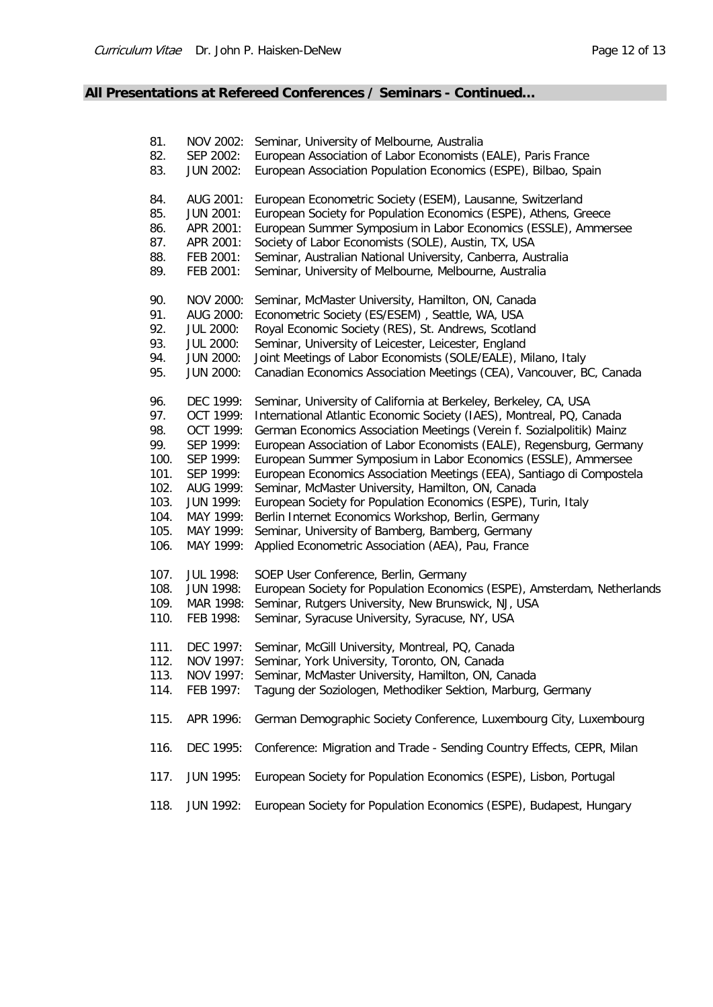# **All Presentations at Refereed Conferences / Seminars - Continued…**

| 81.  | NOV 2002:        | Seminar, University of Melbourne, Australia                              |
|------|------------------|--------------------------------------------------------------------------|
| 82.  | SEP 2002:        | European Association of Labor Economists (EALE), Paris France            |
| 83.  | <b>JUN 2002:</b> | European Association Population Economics (ESPE), Bilbao, Spain          |
| 84.  | AUG 2001:        | European Econometric Society (ESEM), Lausanne, Switzerland               |
| 85.  | <b>JUN 2001:</b> | European Society for Population Economics (ESPE), Athens, Greece         |
| 86.  | APR 2001:        | European Summer Symposium in Labor Economics (ESSLE), Ammersee           |
| 87.  | APR 2001:        | Society of Labor Economists (SOLE), Austin, TX, USA                      |
| 88.  | FEB 2001:        | Seminar, Australian National University, Canberra, Australia             |
| 89.  | FEB 2001:        | Seminar, University of Melbourne, Melbourne, Australia                   |
| 90.  | NOV 2000:        | Seminar, McMaster University, Hamilton, ON, Canada                       |
| 91.  | AUG 2000:        | Econometric Society (ES/ESEM), Seattle, WA, USA                          |
| 92.  | <b>JUL 2000:</b> | Royal Economic Society (RES), St. Andrews, Scotland                      |
| 93.  | <b>JUL 2000:</b> | Seminar, University of Leicester, Leicester, England                     |
| 94.  | <b>JUN 2000:</b> | Joint Meetings of Labor Economists (SOLE/EALE), Milano, Italy            |
| 95.  | <b>JUN 2000:</b> | Canadian Economics Association Meetings (CEA), Vancouver, BC, Canada     |
| 96.  | DEC 1999:        | Seminar, University of California at Berkeley, Berkeley, CA, USA         |
| 97.  | OCT 1999:        | International Atlantic Economic Society (IAES), Montreal, PQ, Canada     |
| 98.  | OCT 1999:        | German Economics Association Meetings (Verein f. Sozialpolitik) Mainz    |
| 99.  | SEP 1999:        | European Association of Labor Economists (EALE), Regensburg, Germany     |
| 100. | SEP 1999:        | European Summer Symposium in Labor Economics (ESSLE), Ammersee           |
| 101. | SEP 1999:        | European Economics Association Meetings (EEA), Santiago di Compostela    |
| 102. | AUG 1999:        | Seminar, McMaster University, Hamilton, ON, Canada                       |
| 103. | <b>JUN 1999:</b> | European Society for Population Economics (ESPE), Turin, Italy           |
| 104. | MAY 1999:        | Berlin Internet Economics Workshop, Berlin, Germany                      |
| 105. | MAY 1999:        | Seminar, University of Bamberg, Bamberg, Germany                         |
| 106. | MAY 1999:        | Applied Econometric Association (AEA), Pau, France                       |
| 107. | <b>JUL 1998:</b> | SOEP User Conference, Berlin, Germany                                    |
| 108. | <b>JUN 1998:</b> | European Society for Population Economics (ESPE), Amsterdam, Netherlands |
| 109. | MAR 1998:        | Seminar, Rutgers University, New Brunswick, NJ, USA                      |
| 110. | FEB 1998:        | Seminar, Syracuse University, Syracuse, NY, USA                          |
| 111. | DEC 1997:        | Seminar, McGill University, Montreal, PQ, Canada                         |
| 112. | NOV 1997:        | Seminar, York University, Toronto, ON, Canada                            |
| 113. | NOV 1997:        | Seminar, McMaster University, Hamilton, ON, Canada                       |
| 114. | FEB 1997:        | Tagung der Soziologen, Methodiker Sektion, Marburg, Germany              |
| 115. | APR 1996:        | German Demographic Society Conference, Luxembourg City, Luxembourg       |
| 116. | DEC 1995:        | Conference: Migration and Trade - Sending Country Effects, CEPR, Milan   |
| 117. | <b>JUN 1995:</b> | European Society for Population Economics (ESPE), Lisbon, Portugal       |
| 118. | <b>JUN 1992:</b> | European Society for Population Economics (ESPE), Budapest, Hungary      |